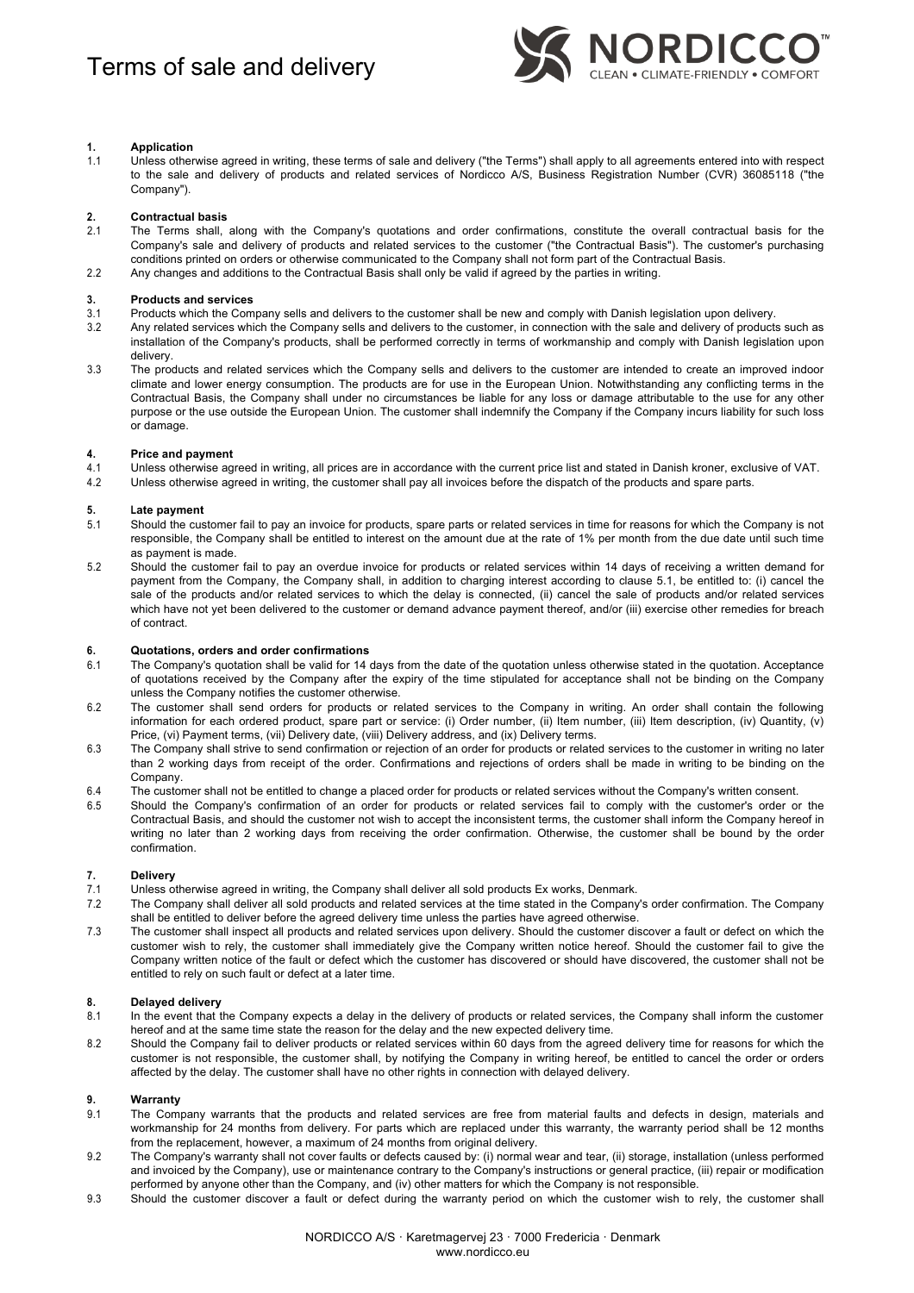

# **1. Application**

1.1 Unless otherwise agreed in writing, these terms of sale and delivery ("the Terms") shall apply to all agreements entered into with respect to the sale and delivery of products and related services of Nordicco A/S, Business Registration Number (CVR) 36085118 ("the Company").

## **2. Contractual basis**

- 2.1 The Terms shall, along with the Company's quotations and order confirmations, constitute the overall contractual basis for the Company's sale and delivery of products and related services to the customer ("the Contractual Basis"). The customer's purchasing conditions printed on orders or otherwise communicated to the Company shall not form part of the Contractual Basis.
- 2.2 Any changes and additions to the Contractual Basis shall only be valid if agreed by the parties in writing.

## **3. Products and services**

- 3.1 Products which the Company sells and delivers to the customer shall be new and comply with Danish legislation upon delivery.
- 3.2 Any related services which the Company sells and delivers to the customer, in connection with the sale and delivery of products such as installation of the Company's products, shall be performed correctly in terms of workmanship and comply with Danish legislation upon delivery.
- 3.3 The products and related services which the Company sells and delivers to the customer are intended to create an improved indoor climate and lower energy consumption. The products are for use in the European Union. Notwithstanding any conflicting terms in the Contractual Basis, the Company shall under no circumstances be liable for any loss or damage attributable to the use for any other purpose or the use outside the European Union. The customer shall indemnify the Company if the Company incurs liability for such loss or damage.

## **4. Price and payment**

- 4.1 Unless otherwise agreed in writing, all prices are in accordance with the current price list and stated in Danish kroner, exclusive of VAT.
- 4.2 Unless otherwise agreed in writing, the customer shall pay all invoices before the dispatch of the products and spare parts.

# **5. Late payment**

- 5.1 Should the customer fail to pay an invoice for products, spare parts or related services in time for reasons for which the Company is not responsible, the Company shall be entitled to interest on the amount due at the rate of 1% per month from the due date until such time as payment is made.
- 5.2 Should the customer fail to pay an overdue invoice for products or related services within 14 days of receiving a written demand for payment from the Company, the Company shall, in addition to charging interest according to clause 5.1, be entitled to: (i) cancel the sale of the products and/or related services to which the delay is connected, (ii) cancel the sale of products and/or related services which have not yet been delivered to the customer or demand advance payment thereof, and/or (iii) exercise other remedies for breach of contract.

# **6. Quotations, orders and order confirmations**

- 6.1 The Company's quotation shall be valid for 14 days from the date of the quotation unless otherwise stated in the quotation. Acceptance of quotations received by the Company after the expiry of the time stipulated for acceptance shall not be binding on the Company unless the Company notifies the customer otherwise.
- 6.2 The customer shall send orders for products or related services to the Company in writing. An order shall contain the following information for each ordered product, spare part or service: (i) Order number, (ii) Item number, (iii) Item description, (iv) Quantity, (v) Price, (vi) Payment terms, (vii) Delivery date, (viii) Delivery address, and (ix) Delivery terms.
- 6.3 The Company shall strive to send confirmation or rejection of an order for products or related services to the customer in writing no later than 2 working days from receipt of the order. Confirmations and rejections of orders shall be made in writing to be binding on the Company.
- 6.4 The customer shall not be entitled to change a placed order for products or related services without the Company's written consent.
- 6.5 Should the Company's confirmation of an order for products or related services fail to comply with the customer's order or the Contractual Basis, and should the customer not wish to accept the inconsistent terms, the customer shall inform the Company hereof in writing no later than 2 working days from receiving the order confirmation. Otherwise, the customer shall be bound by the order confirmation.

### **7. Delivery**

- 7.1 Unless otherwise agreed in writing, the Company shall deliver all sold products Ex works, Denmark.
- 7.2 The Company shall deliver all sold products and related services at the time stated in the Company's order confirmation. The Company shall be entitled to deliver before the agreed delivery time unless the parties have agreed otherwise.
- 7.3 The customer shall inspect all products and related services upon delivery. Should the customer discover a fault or defect on which the customer wish to rely, the customer shall immediately give the Company written notice hereof. Should the customer fail to give the Company written notice of the fault or defect which the customer has discovered or should have discovered, the customer shall not be entitled to rely on such fault or defect at a later time.

# **8. Delayed delivery**

- 8.1 In the event that the Company expects a delay in the delivery of products or related services, the Company shall inform the customer hereof and at the same time state the reason for the delay and the new expected delivery time.
- 8.2 Should the Company fail to deliver products or related services within 60 days from the agreed delivery time for reasons for which the customer is not responsible, the customer shall, by notifying the Company in writing hereof, be entitled to cancel the order or orders affected by the delay. The customer shall have no other rights in connection with delayed delivery.

### **9. Warranty**

- 9.1 The Company warrants that the products and related services are free from material faults and defects in design, materials and workmanship for 24 months from delivery. For parts which are replaced under this warranty, the warranty period shall be 12 months from the replacement, however, a maximum of 24 months from original delivery.
- 9.2 The Company's warranty shall not cover faults or defects caused by: (i) normal wear and tear, (ii) storage, installation (unless performed and invoiced by the Company), use or maintenance contrary to the Company's instructions or general practice, (iii) repair or modification performed by anyone other than the Company, and (iv) other matters for which the Company is not responsible.
- 9.3 Should the customer discover a fault or defect during the warranty period on which the customer wish to rely, the customer shall